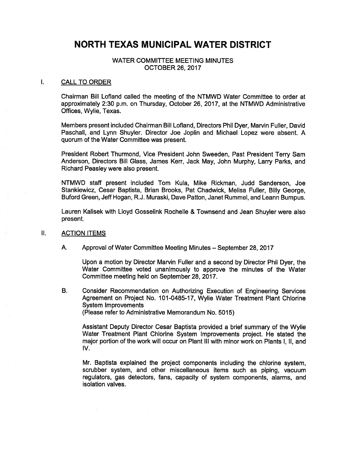# NORTH TEXAS MUNICIPAL WATER DISTRICT

## WATER COMMITTEE MEETING MINUTES OCTOBER 26, 2017

#### Τ. CALL TO ORDER

Chairman Bill Lofland called the meeting of the NTMWD Water Committee to order at approximately 2:30 p.m. on Thursday, October 26, 2017, at the NTMWD Administrative Offices, Wylie, Texas.

Members present included Chairman Bill Lofland, Directors Phil Dyer, Marvin Fuller, David Paschall, and Lynn Shuyler. Director Joe Joplin and Michael Lopez were absent. A quorum of the Water Committee was present.

President Robert Thurmond, Vice President John Sweeden, Past President Terry Sam Anderson, Directors Bill Glass, James Kerr, Jack May, John Murphy, Larry Parks, and Richard Peasley were also present.

NTMWD staff present included Tom Kula, Mike Rickman, Judd Sanderson, Joe Stankiewicz, Cesar Baptista, Brian Brooks, Pat Chadwick, Melisa Fuller, Billy George, Buford Green, Jeff Hogan, R.J. Muraski, Dave Patton, Janet Rummel, and Leann Bumpus.

Lauren Kalisek with Lloyd Gosselink Rochelle & Townsend and Jean Shuyler were also present.

#### II. ACTION ITEMS

A. Approval of Water Committee Meeting Minutes — September 28, 2017

Upon a motion by Director Marvin Fuller and a second by Director Phil Dyer, the Water Committee voted unanimously to approve the minutes of the Water Committee meeting held on September 28, 2017.

B. Consider Recommendation on Authorizing Execution of Engineering Services Agreement on Project No. 101-0485-17, Wylie Water Treatment Plant Chlorine System Improvements Please refer to Administrative Memorandum No. 5015)

Assistant Deputy Director Cesar Baptista provided a brief summary of the Wylie Water Treatment Plant Chlorine System Improvements project. He stated the major portion of the work will occur on Plant III with minor work on Plants I, II, and IV.

Mr. Baptista explained the project components including the chlorine system, scrubber system, and other miscellaneous items such as piping, vacuum regulators, gas detectors, fans, capacity of system components, alarms, and isolation valves.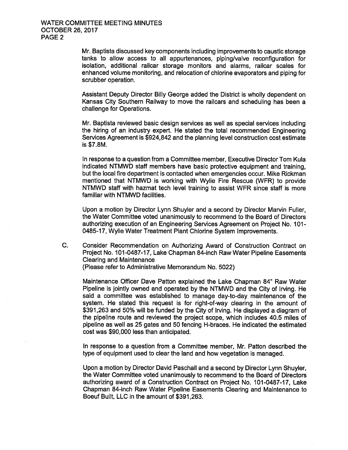Mr. Baptista discussed key components including improvements to caustic storage tanks to allow access to all appurtenances, piping/valve reconfiguration for isolation, additional railcar storage monitors and alarms, railcar scales for enhanced volume monitoring, and relocation of chlorine evaporators and piping for scrubber operation.

Assistant Deputy Director Billy George added the District is wholly dependent on Kansas City Southern Railway to move the railcars and scheduling has been a challenge for Operations.

Mr. Baptista reviewed basic design services as well as special services including the hiring of an industry expert. He stated the total recommended Engineering Services Agreement is \$924,842 and the planning level construction cost estimate  $is$  \$7.8M.

In response to a question from a Committee member, Executive Director Tom Kula indicated NTMWD staff members have basic protective equipment and training, but the local fire department is contacted when emergencies occur. Mike Rickman mentioned that NTMWD is working with Wylie Fire Rescue (WFR) to provide NTMWD staff with hazmat tech level training to assist WFR since staff is more familiar with NTMWD facilities.

Upon a motion by Director Lynn Shuyler and a second by Director Marvin Fuller, the Water Committee voted unanimously to recommend to the Board of Directors authorizing execution of an Engineering Services Agreement on Project No. 101- 0485-17, Wylie Water Treatment Plant Chlorine System Improvements.

C. Consider Recommendation on Authorizing Award of Construction Contract on Project No. 101-0487-17, Lake Chapman 84-inch Raw Water Pipeline Easements Clearing and Maintenance Please refer to Administrative Memorandum No. 5022)

Maintenance Officer Dave Patton explained the Lake Chapman 84" Raw Water Pipeline is jointly owned and operated by the NTMWD and the City of Irving. He said a committee was established to manage day-to-day maintenance of the system. He stated this request is for right-of-way clearing in the amount of 391, 263 and 50% will be funded by the City of Irving. He displayed a diagram of the pipeline route and reviewed the project scope, which includes 40.5 miles of pipeline as well as 25 gates and 50 fencing H -braces. He indicated the estimated cost was \$90,000 less than anticipated.

In response to a question from a Committee member, Mr. Patton described the type of equipment used to clear the land and how vegetation is managed.

Upon a motion by Director David Paschall and a second by Director Lynn Shuyler, the Water Committee voted unanimously to recommend to the Board of Directors authorizing award of a Construction Contract on Project No. 101-0487-17, Lake Chapman 84 -inch Raw Water Pipeline Easements Clearing and Maintenance to Boeuf Built, LLC in the amount of \$391, 263.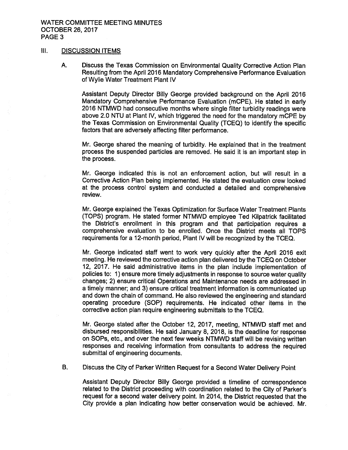### WATER COMMITTEE MEETING MINUTES OCTOBER 26, 2017 PAGE 3

# III. DISCUSSION ITEMS

A. Discuss the Texas Commission on Environmental Quality Corrective Action Plan Resulting from the April 2016 Mandatory Comprehensive Performance Evaluation of Wylie Water Treatment Plant IV

Assistant Deputy Director Billy George provided background on the April 2016 Mandatory Comprehensive Performance Evaluation ( mCPE). He stated in early 2016 NTMWD had consecutive months where single filter turbidity readings were above 2.0 NTU at Plant IV, which triggered the need for the mandatory mCPE by the Texas Commission on Environmental Quality (TCEQ) to identify the specific factors that are adversely affecting filter performance.

Mr. George shared the meaning of turbidity. He explained that in the treatment process the suspended particles are removed. He said it is an important step in the process.

Mr. George indicated this is not an enforcement action, but will result in a Corrective Action Plan being implemented. He stated the evaluation crew looked at the process control system and conducted a detailed and comprehensive review.

Mr. George explained the Texas Optimization for Surface Water Treatment Plants TOPS) program. He stated former NTMWD employee Ted Kilpatrick facilitated the District's enrollment in this program and that participation requires a comprehensive evaluation to be enrolled. Once the District meets all TOPS requirements for a 12 -month period, Plant IV will be recognized by the TCEQ.

Mr. George indicated staff went to work very quickly after the April 2016 exit meeting. He reviewed the corrective action plan delivered by the TCEQ on October 12, 2017. He said administrative items in the plan include implementation of policies to: 1) ensure more timely adjustments in response to source water quality changes; 2) ensure critical Operations and Maintenance needs are addressed in a timely manner; and 3) ensure critical treatment information is communicated up and down the chain of command. He also reviewed the engineering and standard operating procedure ( SOP) requirements. He indicated other items in the corrective action plan require engineering submittals to the TCEQ.

Mr. George stated after the October 12, 2017, meeting, NTMWD staff met and disbursed responsibilities. He said January 8, 2018, is the deadline for response on SOPs, etc., and over the next few weeks NTMWD staff will be revising written responses and receiving information from consultants to address the required submittal of engineering documents.

B. Discuss the City of Parker Written Request for a Second Water Delivery Point

Assistant Deputy Director Billy George provided a timeline of correspondence related to the District proceeding with coordination related to the City of Parker's request for a second water delivery point. In 2014, the District requested that the City provide a plan indicating how better conservation would be achieved. Mr.